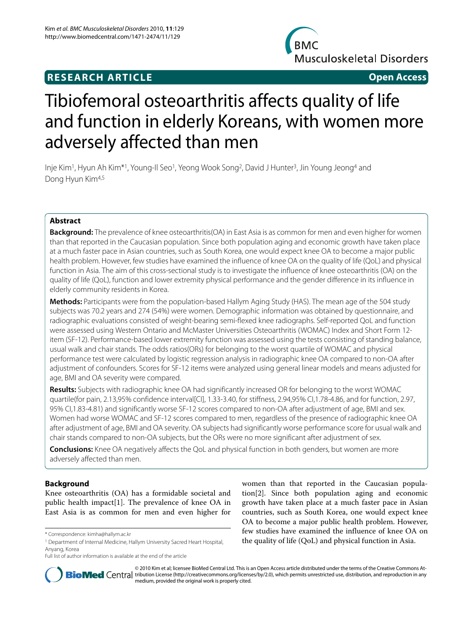# **RESEARCH ARTICLE Open Access**



# Tibiofemoral osteoarthritis affects quality of life and function in elderly Koreans, with women more adversely affected than men

Inje Kim1, Hyun Ah Kim\*1, Young-Il Seo1, Yeong Wook Song2, David J Hunter3, Jin Young Jeong4 and Dong Hyun Kim4,5

# **Abstract**

**Background:** The prevalence of knee osteoarthritis(OA) in East Asia is as common for men and even higher for women than that reported in the Caucasian population. Since both population aging and economic growth have taken place at a much faster pace in Asian countries, such as South Korea, one would expect knee OA to become a major public health problem. However, few studies have examined the influence of knee OA on the quality of life (QoL) and physical function in Asia. The aim of this cross-sectional study is to investigate the influence of knee osteoarthritis (OA) on the quality of life (QoL), function and lower extremity physical performance and the gender difference in its influence in elderly community residents in Korea.

**Methods:** Participants were from the population-based Hallym Aging Study (HAS). The mean age of the 504 study subjects was 70.2 years and 274 (54%) were women. Demographic information was obtained by questionnaire, and radiographic evaluations consisted of weight-bearing semi-flexed knee radiographs. Self-reported QoL and function were assessed using Western Ontario and McMaster Universities Osteoarthritis (WOMAC) Index and Short Form 12 item (SF-12). Performance-based lower extremity function was assessed using the tests consisting of standing balance, usual walk and chair stands. The odds ratios(ORs) for belonging to the worst quartile of WOMAC and physical performance test were calculated by logistic regression analysis in radiographic knee OA compared to non-OA after adjustment of confounders. Scores for SF-12 items were analyzed using general linear models and means adjusted for age, BMI and OA severity were compared.

**Results:** Subjects with radiographic knee OA had significantly increased OR for belonging to the worst WOMAC quartile(for pain, 2.13,95% confidence interval[CI], 1.33-3.40, for stiffness, 2.94,95% CI,1.78-4.86, and for function, 2.97, 95% CI,1.83-4.81) and significantly worse SF-12 scores compared to non-OA after adjustment of age, BMI and sex. Women had worse WOMAC and SF-12 scores compared to men, regardless of the presence of radiographic knee OA after adjustment of age, BMI and OA severity. OA subjects had significantly worse performance score for usual walk and chair stands compared to non-OA subjects, but the ORs were no more significant after adjustment of sex.

**Conclusions:** Knee OA negatively affects the QoL and physical function in both genders, but women are more adversely affected than men.

# **Background**

Knee osteoarthritis (OA) has a formidable societal and public health impact[[1\]](#page-5-0). The prevalence of knee OA in East Asia is as common for men and even higher for women than that reported in the Caucasian population[\[2](#page-5-1)]. Since both population aging and economic growth have taken place at a much faster pace in Asian countries, such as South Korea, one would expect knee OA to become a major public health problem. However, few studies have examined the influence of knee OA on the quality of life (QoL) and physical function in Asia.



© 2010 Kim et al; licensee BioMed Central Ltd. This is an Open Access article distributed under the terms of the Creative Commons At-**Bio Med** Central tribution License (http://creativecommons.org/licenses/by/2.0), which permits unrestricted use, distribution, and reproduction in any medium, provided the original work is properly cited.

<sup>\*</sup> Correspondence: kimha@hallym.ac.kr

<sup>1</sup> Department of Internal Medicine, Hallym University Sacred Heart Hospital, Anyang, Korea

Full list of author information is available at the end of the article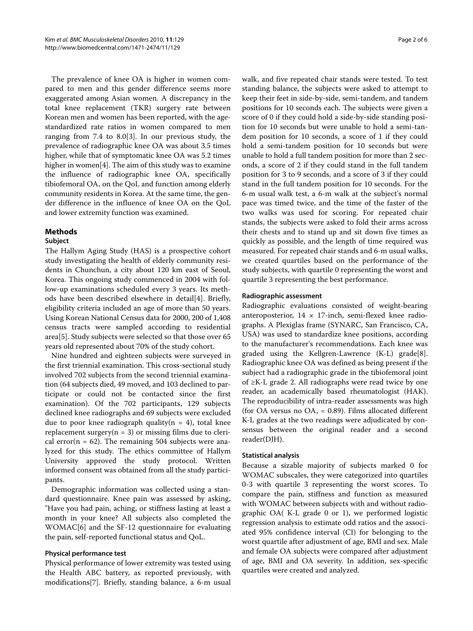The prevalence of knee OA is higher in women compared to men and this gender difference seems more exaggerated among Asian women. A discrepancy in the total knee replacement (TKR) surgery rate between Korean men and women has been reported, with the agestandardized rate ratios in women compared to men ranging from 7.4 to 8.0[\[3](#page-5-2)]. In our previous study, the prevalence of radiographic knee OA was about 3.5 times higher, while that of symptomatic knee OA was 5.2 times higher in women<sup>[[4\]](#page-5-3)</sup>. The aim of this study was to examine the influence of radiographic knee OA, specifically tibiofemoral OA, on the QoL and function among elderly community residents in Korea. At the same time, the gender difference in the influence of knee OA on the QoL and lower extremity function was examined.

# **Methods**

# **Subject**

The Hallym Aging Study (HAS) is a prospective cohort study investigating the health of elderly community residents in Chunchun, a city about 120 km east of Seoul, Korea. This ongoing study commenced in 2004 with follow-up examinations scheduled every 3 years. Its methods have been described elsewhere in detail[\[4](#page-5-3)]. Briefly, eligibility criteria included an age of more than 50 years. Using Korean National Census data for 2000, 200 of 1,408 census tracts were sampled according to residential area[[5\]](#page-5-4). Study subjects were selected so that those over 65 years old represented about 70% of the study cohort.

Nine hundred and eighteen subjects were surveyed in the first triennial examination. This cross-sectional study involved 702 subjects from the second triennial examination (64 subjects died, 49 moved, and 103 declined to participate or could not be contacted since the first examination). Of the 702 participants, 129 subjects declined knee radiographs and 69 subjects were excluded due to poor knee radiograph quality( $n = 4$ ), total knee replacement surgery( $n = 3$ ) or missing films due to clerical error( $n = 62$ ). The remaining 504 subjects were analyzed for this study. The ethics committee of Hallym University approved the study protocol. Written informed consent was obtained from all the study participants.

Demographic information was collected using a standard questionnaire. Knee pain was assessed by asking, "Have you had pain, aching, or stiffness lasting at least a month in your knee? All subjects also completed the WOMAC[\[6](#page-5-5)] and the SF-12 questionnaire for evaluating the pain, self-reported functional status and QoL.

# **Physical performance test**

Physical performance of lower extremity was tested using the Health ABC battery, as reported previously, with modifications[\[7](#page-5-6)]. Briefly, standing balance, a 6-m usual walk, and five repeated chair stands were tested. To test standing balance, the subjects were asked to attempt to keep their feet in side-by-side, semi-tandem, and tandem positions for 10 seconds each. The subjects were given a score of 0 if they could hold a side-by-side standing position for 10 seconds but were unable to hold a semi-tandem position for 10 seconds, a score of 1 if they could hold a semi-tandem position for 10 seconds but were unable to hold a full tandem position for more than 2 seconds, a score of 2 if they could stand in the full tandem position for 3 to 9 seconds, and a score of 3 if they could stand in the full tandem position for 10 seconds. For the 6-m usual walk test, a 6-m walk at the subject's normal pace was timed twice, and the time of the faster of the two walks was used for scoring. For repeated chair stands, the subjects were asked to fold their arms across their chests and to stand up and sit down five times as quickly as possible, and the length of time required was measured. For repeated chair stands and 6-m usual walks, we created quartiles based on the performance of the study subjects, with quartile 0 representing the worst and quartile 3 representing the best performance.

# **Radiographic assessment**

Radiographic evaluations consisted of weight-bearing anteroposterior,  $14 \times 17$ -inch, semi-flexed knee radiographs. A Plexiglas frame (SYNARC, San Francisco, CA, USA) was used to standardize knee positions, according to the manufacturer's recommendations. Each knee was graded using the Kellgren-Lawrence (K-L) grade[\[8](#page-5-7)]. Radiographic knee OA was defined as being present if the subject had a radiographic grade in the tibiofemoral joint of ≥K-L grade 2. All radiographs were read twice by one reader, an academically based rheumatologist (HAK). The reproducibility of intra-reader assessments was high (for OA versus no OA, = 0.89). Films allocated different K-L grades at the two readings were adjudicated by consensus between the original reader and a second reader(DJH).

# **Statistical analysis**

Because a sizable majority of subjects marked 0 for WOMAC subscales, they were categorized into quartiles 0-3 with quartile 3 representing the worst scores. To compare the pain, stiffness and function as measured with WOMAC between subjects with and without radiographic OA( K-L grade 0 or 1), we performed logistic regression analysis to estimate odd ratios and the associated 95% confidence interval (CI) for belonging to the worst quartile after adjustment of age, BMI and sex. Male and female OA subjects were compared after adjustment of age, BMI and OA severity. In addition, sex-specific quartiles were created and analyzed.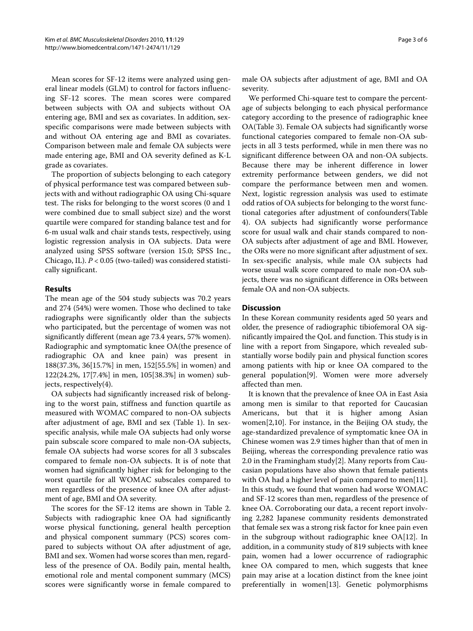Mean scores for SF-12 items were analyzed using general linear models (GLM) to control for factors influencing SF-12 scores. The mean scores were compared between subjects with OA and subjects without OA entering age, BMI and sex as covariates. In addition, sexspecific comparisons were made between subjects with and without OA entering age and BMI as covariates. Comparison between male and female OA subjects were made entering age, BMI and OA severity defined as K-L grade as covariates.

The proportion of subjects belonging to each category of physical performance test was compared between subjects with and without radiographic OA using Chi-square test. The risks for belonging to the worst scores (0 and 1 were combined due to small subject size) and the worst quartile were compared for standing balance test and for 6-m usual walk and chair stands tests, respectively, using logistic regression analysis in OA subjects. Data were analyzed using SPSS software (version 15.0; SPSS Inc., Chicago, IL). *P* < 0.05 (two-tailed) was considered statistically significant.

# **Results**

The mean age of the 504 study subjects was 70.2 years and 274 (54%) were women. Those who declined to take radiographs were significantly older than the subjects who participated, but the percentage of women was not significantly different (mean age 73.4 years, 57% women). Radiographic and symptomatic knee OA(the presence of radiographic OA and knee pain) was present in 188(37.3%, 36[15.7%] in men, 152[55.5%] in women) and 122(24.2%, 17[7.4%] in men, 105[38.3%] in women) subjects, respectively(4).

OA subjects had significantly increased risk of belonging to the worst pain, stiffness and function quartile as measured with WOMAC compared to non-OA subjects after adjustment of age, BMI and sex (Table [1](#page-3-0)). In sexspecific analysis, while male OA subjects had only worse pain subscale score compared to male non-OA subjects, female OA subjects had worse scores for all 3 subscales compared to female non-OA subjects. It is of note that women had significantly higher risk for belonging to the worst quartile for all WOMAC subscales compared to men regardless of the presence of knee OA after adjustment of age, BMI and OA severity.

The scores for the SF-12 items are shown in Table [2](#page-3-1). Subjects with radiographic knee OA had significantly worse physical functioning, general health perception and physical component summary (PCS) scores compared to subjects without OA after adjustment of age, BMI and sex. Women had worse scores than men, regardless of the presence of OA. Bodily pain, mental health, emotional role and mental component summary (MCS) scores were significantly worse in female compared to male OA subjects after adjustment of age, BMI and OA severity.

We performed Chi-square test to compare the percentage of subjects belonging to each physical performance category according to the presence of radiographic knee OA(Table [3](#page-4-0)). Female OA subjects had significantly worse functional categories compared to female non-OA subjects in all 3 tests performed, while in men there was no significant difference between OA and non-OA subjects. Because there may be inherent difference in lower extremity performance between genders, we did not compare the performance between men and women. Next, logistic regression analysis was used to estimate odd ratios of OA subjects for belonging to the worst functional categories after adjustment of confounders(Table 4). OA subjects had significantly worse performance score for usual walk and chair stands compared to non-OA subjects after adjustment of age and BMI. However, the ORs were no more significant after adjustment of sex. In sex-specific analysis, while male OA subjects had worse usual walk score compared to male non-OA subjects, there was no significant difference in ORs between female OA and non-OA subjects.

# **Discussion**

In these Korean community residents aged 50 years and older, the presence of radiographic tibiofemoral OA significantly impaired the QoL and function. This study is in line with a report from Singapore, which revealed substantially worse bodily pain and physical function scores among patients with hip or knee OA compared to the general population[\[9](#page-5-8)]. Women were more adversely affected than men.

It is known that the prevalence of knee OA in East Asia among men is similar to that reported for Caucasian Americans, but that it is higher among Asian women[\[2](#page-5-1)[,10](#page-5-9)]. For instance, in the Beijing OA study, the age-standardized prevalence of symptomatic knee OA in Chinese women was 2.9 times higher than that of men in Beijing, whereas the corresponding prevalence ratio was 2.0 in the Framingham study[\[2](#page-5-1)]. Many reports from Caucasian populations have also shown that female patients with OA had a higher level of pain compared to men[\[11](#page-5-10)]. In this study, we found that women had worse WOMAC and SF-12 scores than men, regardless of the presence of knee OA. Corroborating our data, a recent report involving 2,282 Japanese community residents demonstrated that female sex was a strong risk factor for knee pain even in the subgroup without radiographic knee OA[\[12](#page-5-11)]. In addition, in a community study of 819 subjects with knee pain, women had a lower occurrence of radiographic knee OA compared to men, which suggests that knee pain may arise at a location distinct from the knee joint preferentially in women[[13\]](#page-5-12). Genetic polymorphisms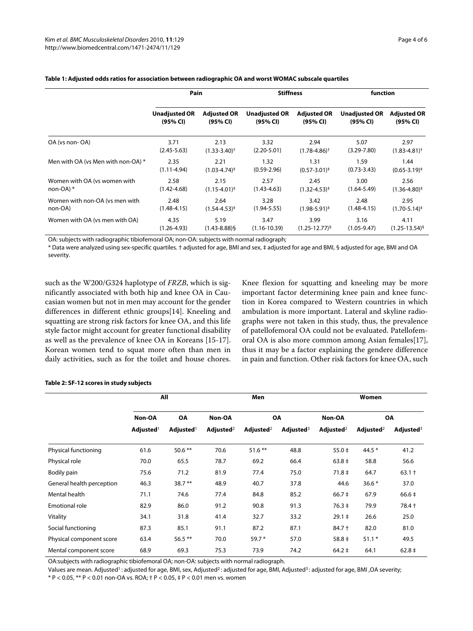|                                    | Pain                 |                            | <b>Stiffness</b>     |                            | function             |                            |
|------------------------------------|----------------------|----------------------------|----------------------|----------------------------|----------------------|----------------------------|
|                                    | <b>Unadjusted OR</b> | <b>Adjusted OR</b>         | <b>Unadjusted OR</b> | <b>Adjusted OR</b>         | <b>Unadjusted OR</b> | <b>Adjusted OR</b>         |
|                                    | (95% CI)             | (95% CI)                   | (95% CI)             | (95% CI)                   | (95% CI)             | (95% CI)                   |
| OA (vs non-OA)                     | 3.71                 | 2.13                       | 3.32                 | 2.94                       | 5.07                 | 2.97                       |
|                                    | $(2.45 - 5.63)$      | $(1.33 - 3.40)^+$          | $(2.20 - 5.01)$      | $(1.78 - 4.86)^+$          | $(3.29 - 7.80)$      | $(1.83 - 4.81)^+$          |
| Men with OA (vs Men with non-OA) * | 2.35                 | 2.21                       | 1.32                 | 1.31                       | 1.59                 | 1.44                       |
|                                    | $(1.11 - 4.94)$      | $(1.03 - 4.74)^+$          | $(0.59 - 2.96)$      | $(0.57 - 3.01)^{\ddagger}$ | $(0.73 - 3.43)$      | $(0.65 - 3.19)^{\ddagger}$ |
| Women with OA (vs women with       | 2.58                 | 2.15                       | 2.57                 | 2.45                       | 3.00                 | 2.56                       |
| non-OA) $*$                        | $(1.42 - 4.68)$      | $(1.15 - 4.01)^{\ddagger}$ | $(1.43 - 4.63)$      | $(1.32 - 4.53)^{\ddagger}$ | $(1.64 - 5.49)$      | $(1.36 - 4.80)^{\ddagger}$ |
| Women with non-OA (vs men with     | 2.48                 | 2.64                       | 3.28                 | 3.42                       | 2.48                 | 2.95                       |
| non-OA)                            | $(1.48 - 4.15)$      | $(1.54 - 4.53)^{\ddagger}$ | $(1.94 - 5.55)$      | $(1.98 - 5.91)^{\ddagger}$ | $(1.48 - 4.15)$      | $(1.70 - 5.14)^{\ddagger}$ |
| Women with OA (vs men with OA)     | 4.35                 | 5.19                       | 3.47                 | 3.99                       | 3.16                 | 4.11                       |
|                                    | $(1.26 - 4.93)$      | $(1.43 - 8.88)$ §          | $(1.16 - 10.39)$     | $(1.25 - 12.77)^{5}$       | $(1.05 - 9.47)$      | $(1.25 - 13.54)^{5}$       |

# <span id="page-3-0"></span>**Table 1: Adjusted odds ratios for association between radiographic OA and worst WOMAC subscale quartiles**

OA: subjects with radiographic tibiofemoral OA; non-OA: subjects with normal radiograph;

\* Data were analyzed using sex-specific quartiles. † adjusted for age, BMI and sex, ‡ adjusted for age and BMI, § adjusted for age, BMI and OA severity.

such as the W200/G324 haplotype of *FRZB*, which is significantly associated with both hip and knee OA in Caucasian women but not in men may account for the gender differences in different ethnic groups[\[14](#page-5-13)]. Kneeling and squatting are strong risk factors for knee OA, and this life style factor might account for greater functional disability as well as the prevalence of knee OA in Koreans [[15-](#page-5-14)[17](#page-5-15)]. Korean women tend to squat more often than men in daily activities, such as for the toilet and house chores.

Knee flexion for squatting and kneeling may be more important factor determining knee pain and knee function in Korea compared to Western countries in which ambulation is more important. Lateral and skyline radiographs were not taken in this study, thus, the prevalence of patellofemoral OA could not be evaluated. Patellofemoral OA is also more common among Asian females[\[17](#page-5-15)], thus it may be a factor explaining the gendere difference in pain and function. Other risk factors for knee OA, such

|                           | All                       |                       | Men               |                       |              | Women                   |                       |              |
|---------------------------|---------------------------|-----------------------|-------------------|-----------------------|--------------|-------------------------|-----------------------|--------------|
|                           | Non-OA                    | <b>OA</b>             | Non-OA            | <b>OA</b>             |              | Non-OA                  | <b>OA</b>             |              |
|                           | $\bf{Adjusted}^{\dagger}$ | Adjusted <sup>1</sup> | $\bf{Adjusted}^2$ | Adjusted <sup>2</sup> | Adjusted $3$ | Adjusted <sup>2</sup>   | Adjusted <sup>2</sup> | Adjusted $3$ |
| Physical functioning      | 61.6                      | $50.6$ **             | 70.6              | $51.6***$             | 48.8         | $55.0 \pm$              | 44.5 $*$              | 41.2         |
| Physical role             | 70.0                      | 65.5                  | 78.7              | 69.2                  | 66.4         | $63.8 \pm$              | 58.8                  | 56.6         |
| Bodily pain               | 75.6                      | 71.2                  | 81.9              | 77.4                  | 75.0         | $71.8 \pm$              | 64.7                  | $63.1 +$     |
| General health perception | 46.3                      | $38.7**$              | 48.9              | 40.7                  | 37.8         | 44.6                    | $36.6*$               | 37.0         |
| Mental health             | 71.1                      | 74.6                  | 77.4              | 84.8                  | 85.2         | $66.7 \pm$              | 67.9                  | $66.6 \pm$   |
| Emotional role            | 82.9                      | 86.0                  | 91.2              | 90.8                  | 91.3         | $76.3 \pm$              | 79.9                  | 78.4 +       |
| Vitality                  | 34.1                      | 31.8                  | 41.4              | 32.7                  | 33.2         | $29.1 \pm$              | 26.6                  | 25.0         |
| Social functioning        | 87.3                      | 85.1                  | 91.1              | 87.2                  | 87.1         | $84.7 +$                | 82.0                  | 81.0         |
| Physical component score  | 63.4                      | $56.5***$             | 70.0              | 59.7 *                | 57.0         | $58.8 \pm$              | $51.1*$               | 49.5         |
| Mental component score    | 68.9                      | 69.3                  | 75.3              | 73.9                  | 74.2         | $64.2 \;{\rm \ddagger}$ | 64.1                  | $62.8 \pm$   |

### <span id="page-3-1"></span>**Table 2: SF-12 scores in study subjects**

OA:subjects with radiographic tibiofemoral OA; non-OA: subjects with normal radiograph.

Values are mean. Adjusted<sup>1</sup>: adjusted for age, BMI, sex, Adjusted<sup>2</sup>: adjusted for age, BMI, Adjusted<sup>3</sup>: adjusted for age, BMI, OA severity; \* P < 0.05, \*\* P < 0.01 non-OA vs. ROA; † P < 0.05, ‡ P < 0.01 men vs. women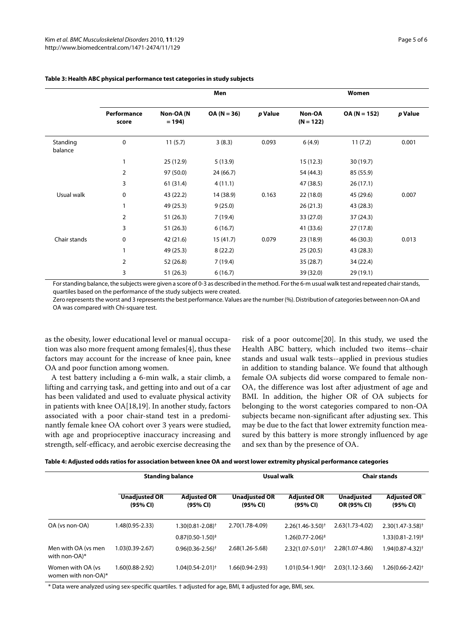|                     | Men                  |                      |               |         | Women                 |                |         |  |
|---------------------|----------------------|----------------------|---------------|---------|-----------------------|----------------|---------|--|
|                     | Performance<br>score | Non-OA (N<br>$= 194$ | $OA (N = 36)$ | p Value | Non-OA<br>$(N = 122)$ | $OA (N = 152)$ | p Value |  |
| Standing<br>balance | 0                    | 11(5.7)              | 3(8.3)        | 0.093   | 6(4.9)                | 11(7.2)        | 0.001   |  |
|                     | 1                    | 25 (12.9)            | 5(13.9)       |         | 15(12.3)              | 30(19.7)       |         |  |
|                     | 2                    | 97 (50.0)            | 24(66.7)      |         | 54 (44.3)             | 85 (55.9)      |         |  |
|                     | 3                    | 61(31.4)             | 4(11.1)       |         | 47 (38.5)             | 26(17.1)       |         |  |
| Usual walk          | 0                    | 43 (22.2)            | 14 (38.9)     | 0.163   | 22(18.0)              | 45 (29.6)      | 0.007   |  |
|                     |                      | 49 (25.3)            | 9(25.0)       |         | 26(21.3)              | 43 (28.3)      |         |  |
|                     | 2                    | 51(26.3)             | 7(19.4)       |         | 33 (27.0)             | 37 (24.3)      |         |  |
|                     | 3                    | 51 (26.3)            | 6(16.7)       |         | 41 (33.6)             | 27 (17.8)      |         |  |
| Chair stands        | 0                    | 42 (21.6)            | 15(41.7)      | 0.079   | 23 (18.9)             | 46 (30.3)      | 0.013   |  |
|                     | 1                    | 49 (25.3)            | 8(22.2)       |         | 25(20.5)              | 43 (28.3)      |         |  |
|                     | 2                    | 52 (26.8)            | 7(19.4)       |         | 35(28.7)              | 34 (22.4)      |         |  |
|                     | 3                    | 51(26.3)             | 6(16.7)       |         | 39 (32.0)             | 29 (19.1)      |         |  |

# <span id="page-4-0"></span>**Table 3: Health ABC physical performance test categories in study subjects**

For standing balance, the subjects were given a score of 0-3 as described in the method. For the 6-m usual walk test and repeated chair stands, quartiles based on the performance of the study subjects were created.

Zero represents the worst and 3 represents the best performance. Values are the number (%). Distribution of categories between non-OA and OA was compared with Chi-square test.

as the obesity, lower educational level or manual occupation was also more frequent among females[[4\]](#page-5-3), thus these factors may account for the increase of knee pain, knee OA and poor function among women.

A test battery including a 6-min walk, a stair climb, a lifting and carrying task, and getting into and out of a car has been validated and used to evaluate physical activity in patients with knee OA[[18,](#page-5-16)[19\]](#page-5-17). In another study, factors associated with a poor chair-stand test in a predominantly female knee OA cohort over 3 years were studied, with age and proprioceptive inaccuracy increasing and strength, self-efficacy, and aerobic exercise decreasing the risk of a poor outcome[\[20](#page-5-18)]. In this study, we used the Health ABC battery, which included two items--chair stands and usual walk tests--applied in previous studies in addition to standing balance. We found that although female OA subjects did worse compared to female non-OA, the difference was lost after adjustment of age and BMI. In addition, the higher OR of OA subjects for belonging to the worst categories compared to non-OA subjects became non-significant after adjusting sex. This may be due to the fact that lower extremity function measured by this battery is more strongly influenced by age and sex than by the presence of OA.

|  | Table 4: Adjusted odds ratios for association between knee OA and worst lower extremity physical performance categories |  |  |  |
|--|-------------------------------------------------------------------------------------------------------------------------|--|--|--|
|  |                                                                                                                         |  |  |  |

|                                           | <b>Standing balance</b>          |                                                  | Usual walk                       |                                                           | <b>Chair stands</b>              |                                                                |
|-------------------------------------------|----------------------------------|--------------------------------------------------|----------------------------------|-----------------------------------------------------------|----------------------------------|----------------------------------------------------------------|
|                                           | <b>Unadjusted OR</b><br>(95% CI) | <b>Adjusted OR</b><br>(95% CI)                   | <b>Unadjusted OR</b><br>(95% CI) | <b>Adjusted OR</b><br>(95% CI)                            | <b>Unadjusted</b><br>OR (95% CI) | <b>Adjusted OR</b><br>(95% CI)                                 |
| OA (vs non-OA)                            | 1.48(0.95-2.33)                  | $1.30(0.81 - 2.08)$ <sup>+</sup>                 | 2.70(1.78-4.09)                  | $2.26(1.46 - 3.50)^{+}$                                   | $2.63(1.73-4.02)$                | $2.30(1.47 - 3.58)^{+}$                                        |
| Men with OA (vs men<br>with non-OA)*      | 1.03(0.39-2.67)                  | $0.87(0.50-1.50)^{+}$<br>$0.96(0.36 - 2.56)^{+}$ | $2.68(1.26 - 5.68)$              | $1.26(0.77 - 2.06)^{\ddagger}$<br>$2.32(1.07 - 5.01)^{+}$ | 2.28(1.07-4.86)                  | $1.33(0.81 - 2.19)^{\ddagger}$<br>1.94(0.87-4.32) <sup>+</sup> |
| Women with OA (vs)<br>women with non-OA)* | 1.60(0.88-2.92)                  | $1.04(0.54 - 2.01)$ <sup>+</sup>                 | 1.66(0.94-2.93)                  | $1.01(0.54-1.90)$ <sup>+</sup>                            | $2.03(1.12 - 3.66)$              | 1.26(0.66-2.42)†                                               |

\* Data were analyzed using sex-specific quartiles. † adjusted for age, BMI, ‡ adjusted for age, BMI, sex.